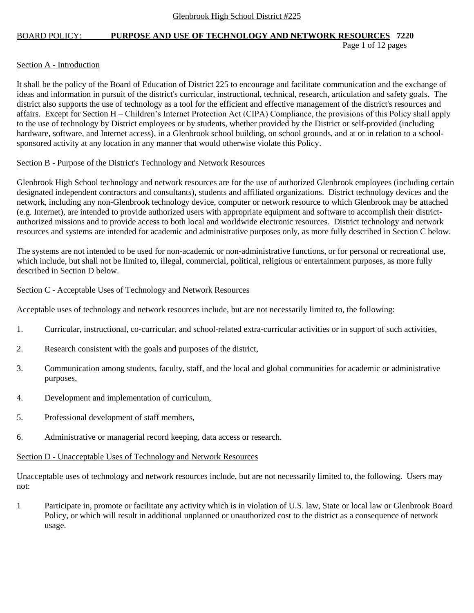Page 1 of 12 pages

### Section A - Introduction

It shall be the policy of the Board of Education of District 225 to encourage and facilitate communication and the exchange of ideas and information in pursuit of the district's curricular, instructional, technical, research, articulation and safety goals. The district also supports the use of technology as a tool for the efficient and effective management of the district's resources and affairs. Except for Section H – Children's Internet Protection Act (CIPA) Compliance, the provisions of this Policy shall apply to the use of technology by District employees or by students, whether provided by the District or self-provided (including hardware, software, and Internet access), in a Glenbrook school building, on school grounds, and at or in relation to a schoolsponsored activity at any location in any manner that would otherwise violate this Policy.

### Section B - Purpose of the District's Technology and Network Resources

Glenbrook High School technology and network resources are for the use of authorized Glenbrook employees (including certain designated independent contractors and consultants), students and affiliated organizations. District technology devices and the network, including any non-Glenbrook technology device, computer or network resource to which Glenbrook may be attached (e.g. Internet), are intended to provide authorized users with appropriate equipment and software to accomplish their districtauthorized missions and to provide access to both local and worldwide electronic resources. District technology and network resources and systems are intended for academic and administrative purposes only, as more fully described in Section C below.

The systems are not intended to be used for non-academic or non-administrative functions, or for personal or recreational use, which include, but shall not be limited to, illegal, commercial, political, religious or entertainment purposes, as more fully described in Section D below.

### Section C - Acceptable Uses of Technology and Network Resources

Acceptable uses of technology and network resources include, but are not necessarily limited to, the following:

- 1. Curricular, instructional, co-curricular, and school-related extra-curricular activities or in support of such activities,
- 2. Research consistent with the goals and purposes of the district,
- 3. Communication among students, faculty, staff, and the local and global communities for academic or administrative purposes,
- 4. Development and implementation of curriculum,
- 5. Professional development of staff members,
- 6. Administrative or managerial record keeping, data access or research.

### Section D - Unacceptable Uses of Technology and Network Resources

Unacceptable uses of technology and network resources include, but are not necessarily limited to, the following. Users may not:

1 Participate in, promote or facilitate any activity which is in violation of U.S. law, State or local law or Glenbrook Board Policy, or which will result in additional unplanned or unauthorized cost to the district as a consequence of network usage.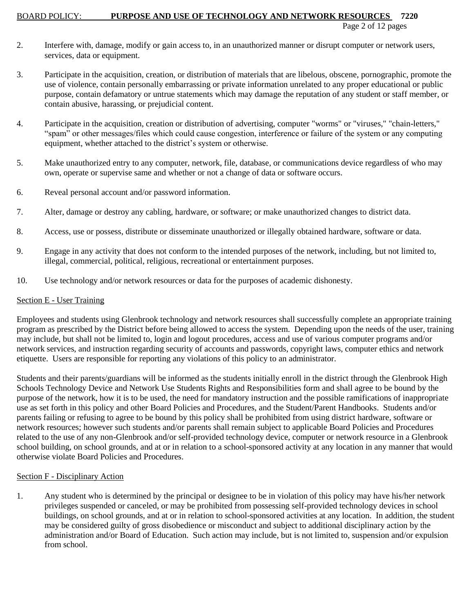Page 2 of 12 pages

- 2. Interfere with, damage, modify or gain access to, in an unauthorized manner or disrupt computer or network users, services, data or equipment.
- 3. Participate in the acquisition, creation, or distribution of materials that are libelous, obscene, pornographic, promote the use of violence, contain personally embarrassing or private information unrelated to any proper educational or public purpose, contain defamatory or untrue statements which may damage the reputation of any student or staff member, or contain abusive, harassing, or prejudicial content.
- 4. Participate in the acquisition, creation or distribution of advertising, computer "worms" or "viruses," "chain-letters," "spam" or other messages/files which could cause congestion, interference or failure of the system or any computing equipment, whether attached to the district's system or otherwise.
- 5. Make unauthorized entry to any computer, network, file, database, or communications device regardless of who may own, operate or supervise same and whether or not a change of data or software occurs.
- 6. Reveal personal account and/or password information.
- 7. Alter, damage or destroy any cabling, hardware, or software; or make unauthorized changes to district data.
- 8. Access, use or possess, distribute or disseminate unauthorized or illegally obtained hardware, software or data.
- 9. Engage in any activity that does not conform to the intended purposes of the network, including, but not limited to, illegal, commercial, political, religious, recreational or entertainment purposes.
- 10. Use technology and/or network resources or data for the purposes of academic dishonesty.

# Section E - User Training

Employees and students using Glenbrook technology and network resources shall successfully complete an appropriate training program as prescribed by the District before being allowed to access the system. Depending upon the needs of the user, training may include, but shall not be limited to, login and logout procedures, access and use of various computer programs and/or network services, and instruction regarding security of accounts and passwords, copyright laws, computer ethics and network etiquette. Users are responsible for reporting any violations of this policy to an administrator.

Students and their parents/guardians will be informed as the students initially enroll in the district through the Glenbrook High Schools Technology Device and Network Use Students Rights and Responsibilities form and shall agree to be bound by the purpose of the network, how it is to be used, the need for mandatory instruction and the possible ramifications of inappropriate use as set forth in this policy and other Board Policies and Procedures, and the Student/Parent Handbooks. Students and/or parents failing or refusing to agree to be bound by this policy shall be prohibited from using district hardware, software or network resources; however such students and/or parents shall remain subject to applicable Board Policies and Procedures related to the use of any non-Glenbrook and/or self-provided technology device, computer or network resource in a Glenbrook school building, on school grounds, and at or in relation to a school-sponsored activity at any location in any manner that would otherwise violate Board Policies and Procedures.

# Section F - Disciplinary Action

1. Any student who is determined by the principal or designee to be in violation of this policy may have his/her network privileges suspended or canceled, or may be prohibited from possessing self-provided technology devices in school buildings, on school grounds, and at or in relation to school-sponsored activities at any location. In addition, the student may be considered guilty of gross disobedience or misconduct and subject to additional disciplinary action by the administration and/or Board of Education. Such action may include, but is not limited to, suspension and/or expulsion from school.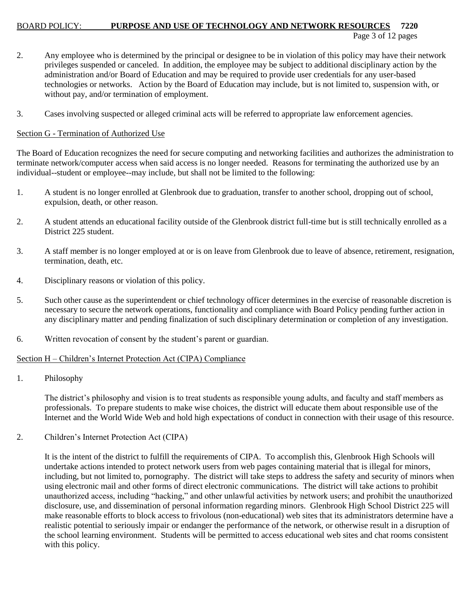#### BOARD POLICY: **PURPOSE AND USE OF TECHNOLOGY AND NETWORK RESOURCES 7220** Page 3 of 12 pages

- 2. Any employee who is determined by the principal or designee to be in violation of this policy may have their network privileges suspended or canceled. In addition, the employee may be subject to additional disciplinary action by the administration and/or Board of Education and may be required to provide user credentials for any user-based technologies or networks. Action by the Board of Education may include, but is not limited to, suspension with, or without pay, and/or termination of employment.
- 3. Cases involving suspected or alleged criminal acts will be referred to appropriate law enforcement agencies.

### Section G - Termination of Authorized Use

The Board of Education recognizes the need for secure computing and networking facilities and authorizes the administration to terminate network/computer access when said access is no longer needed. Reasons for terminating the authorized use by an individual--student or employee--may include, but shall not be limited to the following:

- 1. A student is no longer enrolled at Glenbrook due to graduation, transfer to another school, dropping out of school, expulsion, death, or other reason.
- 2. A student attends an educational facility outside of the Glenbrook district full-time but is still technically enrolled as a District 225 student.
- 3. A staff member is no longer employed at or is on leave from Glenbrook due to leave of absence, retirement, resignation, termination, death, etc.
- 4. Disciplinary reasons or violation of this policy.
- 5. Such other cause as the superintendent or chief technology officer determines in the exercise of reasonable discretion is necessary to secure the network operations, functionality and compliance with Board Policy pending further action in any disciplinary matter and pending finalization of such disciplinary determination or completion of any investigation.
- 6. Written revocation of consent by the student's parent or guardian.

### Section H – Children's Internet Protection Act (CIPA) Compliance

1. Philosophy

The district's philosophy and vision is to treat students as responsible young adults, and faculty and staff members as professionals. To prepare students to make wise choices, the district will educate them about responsible use of the Internet and the World Wide Web and hold high expectations of conduct in connection with their usage of this resource.

2. Children's Internet Protection Act (CIPA)

It is the intent of the district to fulfill the requirements of CIPA. To accomplish this, Glenbrook High Schools will undertake actions intended to protect network users from web pages containing material that is illegal for minors, including, but not limited to, pornography. The district will take steps to address the safety and security of minors when using electronic mail and other forms of direct electronic communications. The district will take actions to prohibit unauthorized access, including "hacking," and other unlawful activities by network users; and prohibit the unauthorized disclosure, use, and dissemination of personal information regarding minors. Glenbrook High School District 225 will make reasonable efforts to block access to frivolous (non-educational) web sites that its administrators determine have a realistic potential to seriously impair or endanger the performance of the network, or otherwise result in a disruption of the school learning environment. Students will be permitted to access educational web sites and chat rooms consistent with this policy.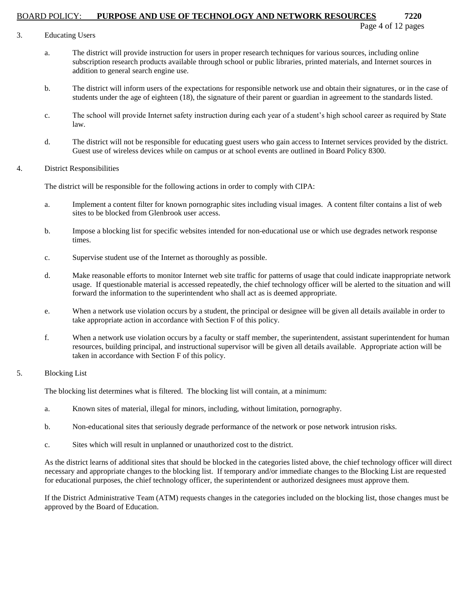- 3. Educating Users
	- a. The district will provide instruction for users in proper research techniques for various sources, including online subscription research products available through school or public libraries, printed materials, and Internet sources in addition to general search engine use.
	- b. The district will inform users of the expectations for responsible network use and obtain their signatures, or in the case of students under the age of eighteen (18), the signature of their parent or guardian in agreement to the standards listed.
	- c. The school will provide Internet safety instruction during each year of a student's high school career as required by State law.
	- d. The district will not be responsible for educating guest users who gain access to Internet services provided by the district. Guest use of wireless devices while on campus or at school events are outlined in Board Policy 8300.
- 4. District Responsibilities

The district will be responsible for the following actions in order to comply with CIPA:

- a. Implement a content filter for known pornographic sites including visual images. A content filter contains a list of web sites to be blocked from Glenbrook user access.
- b. Impose a blocking list for specific websites intended for non-educational use or which use degrades network response times.
- c. Supervise student use of the Internet as thoroughly as possible.
- d. Make reasonable efforts to monitor Internet web site traffic for patterns of usage that could indicate inappropriate network usage. If questionable material is accessed repeatedly, the chief technology officer will be alerted to the situation and will forward the information to the superintendent who shall act as is deemed appropriate.
- e. When a network use violation occurs by a student, the principal or designee will be given all details available in order to take appropriate action in accordance with Section F of this policy.
- f. When a network use violation occurs by a faculty or staff member, the superintendent, assistant superintendent for human resources, building principal, and instructional supervisor will be given all details available. Appropriate action will be taken in accordance with Section F of this policy.
- 5. Blocking List

The blocking list determines what is filtered. The blocking list will contain, at a minimum:

- a. Known sites of material, illegal for minors, including, without limitation, pornography.
- b. Non-educational sites that seriously degrade performance of the network or pose network intrusion risks.
- c. Sites which will result in unplanned or unauthorized cost to the district.

As the district learns of additional sites that should be blocked in the categories listed above, the chief technology officer will direct necessary and appropriate changes to the blocking list. If temporary and/or immediate changes to the Blocking List are requested for educational purposes, the chief technology officer, the superintendent or authorized designees must approve them.

If the District Administrative Team (ATM) requests changes in the categories included on the blocking list, those changes must be approved by the Board of Education.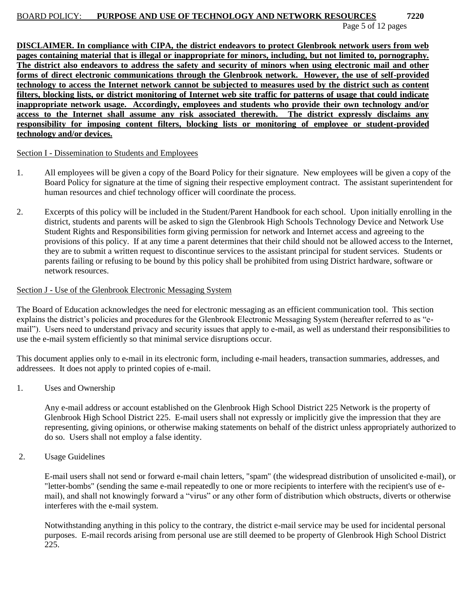Page 5 of 12 pages

**DISCLAIMER. In compliance with CIPA, the district endeavors to protect Glenbrook network users from web pages containing material that is illegal or inappropriate for minors, including, but not limited to, pornography. The district also endeavors to address the safety and security of minors when using electronic mail and other forms of direct electronic communications through the Glenbrook network. However, the use of self-provided technology to access the Internet network cannot be subjected to measures used by the district such as content filters, blocking lists, or district monitoring of Internet web site traffic for patterns of usage that could indicate inappropriate network usage. Accordingly, employees and students who provide their own technology and/or access to the Internet shall assume any risk associated therewith. The district expressly disclaims any responsibility for imposing content filters, blocking lists or monitoring of employee or student-provided technology and/or devices.**

Section I - Dissemination to Students and Employees

- 1. All employees will be given a copy of the Board Policy for their signature. New employees will be given a copy of the Board Policy for signature at the time of signing their respective employment contract. The assistant superintendent for human resources and chief technology officer will coordinate the process.
- 2. Excerpts of this policy will be included in the Student/Parent Handbook for each school. Upon initially enrolling in the district, students and parents will be asked to sign the Glenbrook High Schools Technology Device and Network Use Student Rights and Responsibilities form giving permission for network and Internet access and agreeing to the provisions of this policy. If at any time a parent determines that their child should not be allowed access to the Internet, they are to submit a written request to discontinue services to the assistant principal for student services. Students or parents failing or refusing to be bound by this policy shall be prohibited from using District hardware, software or network resources.

### Section J - Use of the Glenbrook Electronic Messaging System

The Board of Education acknowledges the need for electronic messaging as an efficient communication tool. This section explains the district's policies and procedures for the Glenbrook Electronic Messaging System (hereafter referred to as "email"). Users need to understand privacy and security issues that apply to e-mail, as well as understand their responsibilities to use the e-mail system efficiently so that minimal service disruptions occur.

This document applies only to e-mail in its electronic form, including e-mail headers, transaction summaries, addresses, and addressees. It does not apply to printed copies of e-mail.

1. Uses and Ownership

Any e-mail address or account established on the Glenbrook High School District 225 Network is the property of Glenbrook High School District 225. E-mail users shall not expressly or implicitly give the impression that they are representing, giving opinions, or otherwise making statements on behalf of the district unless appropriately authorized to do so. Users shall not employ a false identity.

2. Usage Guidelines

E-mail users shall not send or forward e-mail chain letters, "spam" (the widespread distribution of unsolicited e-mail), or "letter-bombs" (sending the same e-mail repeatedly to one or more recipients to interfere with the recipient's use of email), and shall not knowingly forward a "virus" or any other form of distribution which obstructs, diverts or otherwise interferes with the e-mail system.

Notwithstanding anything in this policy to the contrary, the district e-mail service may be used for incidental personal purposes. E-mail records arising from personal use are still deemed to be property of Glenbrook High School District 225.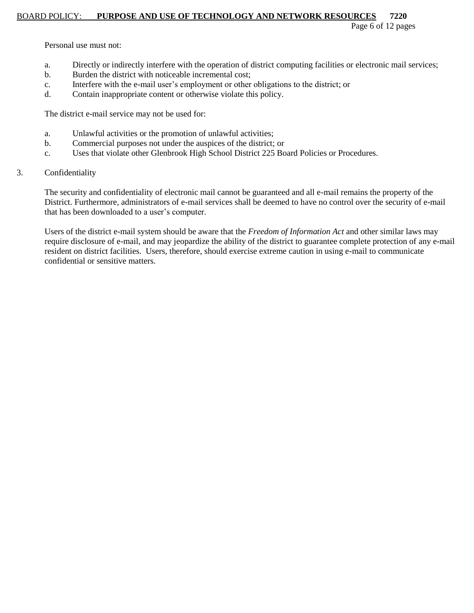Page 6 of 12 pages

Personal use must not:

- a. Directly or indirectly interfere with the operation of district computing facilities or electronic mail services;
- b. Burden the district with noticeable incremental cost;
- c. Interfere with the e-mail user's employment or other obligations to the district; or
- d. Contain inappropriate content or otherwise violate this policy.

The district e-mail service may not be used for:

- a. Unlawful activities or the promotion of unlawful activities;
- b. Commercial purposes not under the auspices of the district; or
- c. Uses that violate other Glenbrook High School District 225 Board Policies or Procedures.
- 3. Confidentiality

The security and confidentiality of electronic mail cannot be guaranteed and all e-mail remains the property of the District. Furthermore, administrators of e-mail services shall be deemed to have no control over the security of e-mail that has been downloaded to a user's computer.

Users of the district e-mail system should be aware that the *Freedom of Information Act* and other similar laws may require disclosure of e-mail, and may jeopardize the ability of the district to guarantee complete protection of any e-mail resident on district facilities. Users, therefore, should exercise extreme caution in using e-mail to communicate confidential or sensitive matters.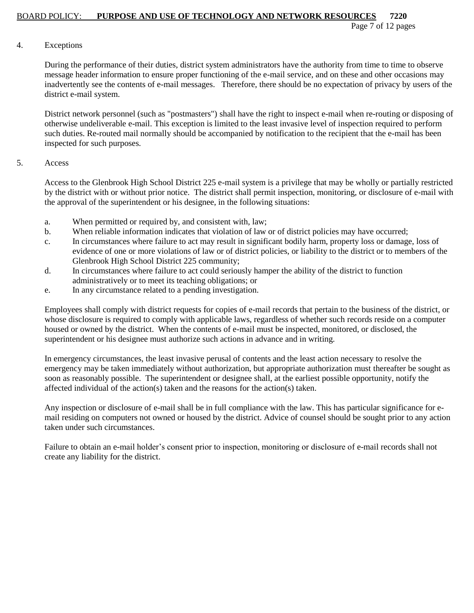Page 7 of 12 pages

### 4. Exceptions

During the performance of their duties, district system administrators have the authority from time to time to observe message header information to ensure proper functioning of the e-mail service, and on these and other occasions may inadvertently see the contents of e-mail messages. Therefore, there should be no expectation of privacy by users of the district e-mail system.

District network personnel (such as "postmasters") shall have the right to inspect e-mail when re-routing or disposing of otherwise undeliverable e-mail. This exception is limited to the least invasive level of inspection required to perform such duties. Re-routed mail normally should be accompanied by notification to the recipient that the e-mail has been inspected for such purposes.

### 5. Access

Access to the Glenbrook High School District 225 e-mail system is a privilege that may be wholly or partially restricted by the district with or without prior notice. The district shall permit inspection, monitoring, or disclosure of e-mail with the approval of the superintendent or his designee, in the following situations:

- a. When permitted or required by, and consistent with, law;
- b. When reliable information indicates that violation of law or of district policies may have occurred;
- c. In circumstances where failure to act may result in significant bodily harm, property loss or damage, loss of evidence of one or more violations of law or of district policies, or liability to the district or to members of the Glenbrook High School District 225 community;
- d. In circumstances where failure to act could seriously hamper the ability of the district to function administratively or to meet its teaching obligations; or
- e. In any circumstance related to a pending investigation.

Employees shall comply with district requests for copies of e-mail records that pertain to the business of the district, or whose disclosure is required to comply with applicable laws, regardless of whether such records reside on a computer housed or owned by the district. When the contents of e-mail must be inspected, monitored, or disclosed, the superintendent or his designee must authorize such actions in advance and in writing.

In emergency circumstances, the least invasive perusal of contents and the least action necessary to resolve the emergency may be taken immediately without authorization, but appropriate authorization must thereafter be sought as soon as reasonably possible. The superintendent or designee shall, at the earliest possible opportunity, notify the affected individual of the action(s) taken and the reasons for the action(s) taken.

Any inspection or disclosure of e-mail shall be in full compliance with the law. This has particular significance for email residing on computers not owned or housed by the district. Advice of counsel should be sought prior to any action taken under such circumstances.

Failure to obtain an e-mail holder's consent prior to inspection, monitoring or disclosure of e-mail records shall not create any liability for the district.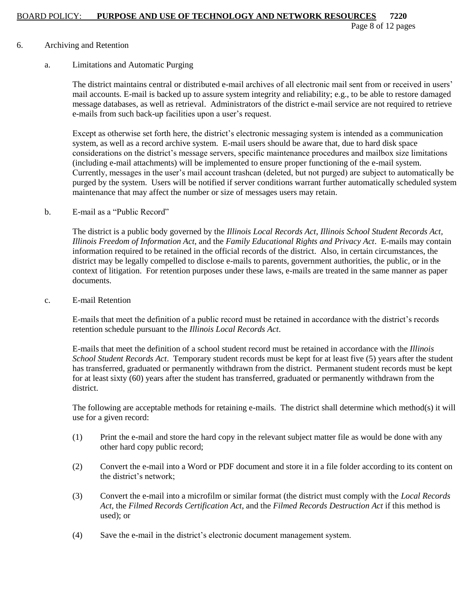Page 8 of 12 pages

### 6. Archiving and Retention

### a. Limitations and Automatic Purging

The district maintains central or distributed e-mail archives of all electronic mail sent from or received in users' mail accounts. E-mail is backed up to assure system integrity and reliability; e.g., to be able to restore damaged message databases, as well as retrieval. Administrators of the district e-mail service are not required to retrieve e-mails from such back-up facilities upon a user's request.

Except as otherwise set forth here, the district's electronic messaging system is intended as a communication system, as well as a record archive system. E-mail users should be aware that, due to hard disk space considerations on the district's message servers, specific maintenance procedures and mailbox size limitations (including e-mail attachments) will be implemented to ensure proper functioning of the e-mail system. Currently, messages in the user's mail account trashcan (deleted, but not purged) are subject to automatically be purged by the system. Users will be notified if server conditions warrant further automatically scheduled system maintenance that may affect the number or size of messages users may retain.

### b. E-mail as a "Public Record"

The district is a public body governed by the *Illinois Local Records Act*, *Illinois School Student Records Act, Illinois Freedom of Information Act*, and the *Family Educational Rights and Privacy Act*. E-mails may contain information required to be retained in the official records of the district. Also, in certain circumstances, the district may be legally compelled to disclose e-mails to parents, government authorities, the public, or in the context of litigation. For retention purposes under these laws, e-mails are treated in the same manner as paper documents.

### c. E-mail Retention

E-mails that meet the definition of a public record must be retained in accordance with the district's records retention schedule pursuant to the *Illinois Local Records Act*.

E-mails that meet the definition of a school student record must be retained in accordance with the *Illinois School Student Records Act*. Temporary student records must be kept for at least five (5) years after the student has transferred, graduated or permanently withdrawn from the district. Permanent student records must be kept for at least sixty (60) years after the student has transferred, graduated or permanently withdrawn from the district.

The following are acceptable methods for retaining e-mails. The district shall determine which method(s) it will use for a given record:

- (1) Print the e-mail and store the hard copy in the relevant subject matter file as would be done with any other hard copy public record;
- (2) Convert the e-mail into a Word or PDF document and store it in a file folder according to its content on the district's network;
- (3) Convert the e-mail into a microfilm or similar format (the district must comply with the *Local Records Act*, the *Filmed Records Certification Act*, and the *Filmed Records Destruction Act* if this method is used); or
- (4) Save the e-mail in the district's electronic document management system.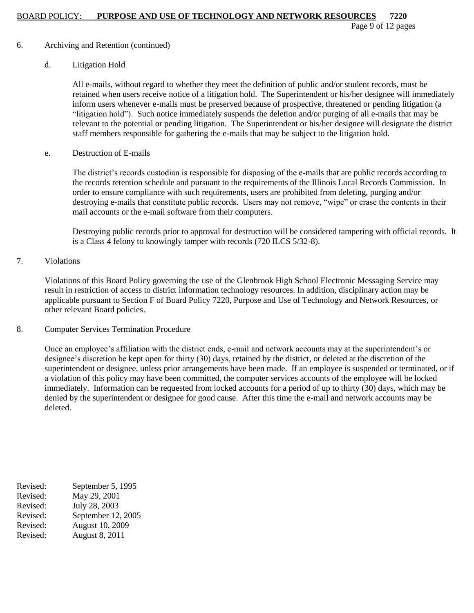Page 9 of 12 pages

### 6. Archiving and Retention (continued)

### d. Litigation Hold

All e-mails, without regard to whether they meet the definition of public and/or student records, must be retained when users receive notice of a litigation hold. The Superintendent or his/her designee will immediately inform users whenever e-mails must be preserved because of prospective, threatened or pending litigation (a "litigation hold"). Such notice immediately suspends the deletion and/or purging of all e-mails that may be relevant to the potential or pending litigation. The Superintendent or his/her designee will designate the district staff members responsible for gathering the e-mails that may be subject to the litigation hold.

e. Destruction of E-mails

The district's records custodian is responsible for disposing of the e-mails that are public records according to the records retention schedule and pursuant to the requirements of the Illinois Local Records Commission. In order to ensure compliance with such requirements, users are prohibited from deleting, purging and/or destroying e-mails that constitute public records. Users may not remove, "wipe" or erase the contents in their mail accounts or the e-mail software from their computers.

Destroying public records prior to approval for destruction will be considered tampering with official records. It is a Class 4 felony to knowingly tamper with records (720 ILCS 5/32-8).

# 7. Violations

Violations of this Board Policy governing the use of the Glenbrook High School Electronic Messaging Service may result in restriction of access to district information technology resources. In addition, disciplinary action may be applicable pursuant to Section F of Board Policy 7220, Purpose and Use of Technology and Network Resources, or other relevant Board policies.

### 8. Computer Services Termination Procedure

Once an employee's affiliation with the district ends, e-mail and network accounts may at the superintendent's or designee's discretion be kept open for thirty (30) days, retained by the district, or deleted at the discretion of the superintendent or designee, unless prior arrangements have been made. If an employee is suspended or terminated, or if a violation of this policy may have been committed, the computer services accounts of the employee will be locked immediately. Information can be requested from locked accounts for a period of up to thirty (30) days, which may be denied by the superintendent or designee for good cause. After this time the e-mail and network accounts may be deleted.

Revised: September 5, 1995 Revised: May 29, 2001 Revised: July 28, 2003 Revised: September 12, 2005 Revised: August 10, 2009 Revised: August 8, 2011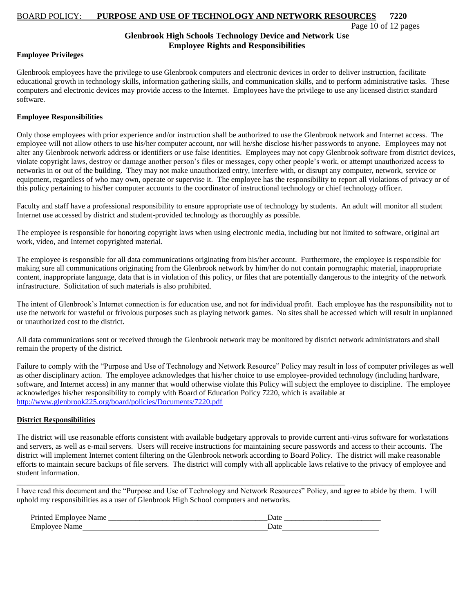Page 10 of 12 pages

#### **Glenbrook High Schools Technology Device and Network Use Employee Rights and Responsibilities**

#### **Employee Privileges**

Glenbrook employees have the privilege to use Glenbrook computers and electronic devices in order to deliver instruction, facilitate educational growth in technology skills, information gathering skills, and communication skills, and to perform administrative tasks. These computers and electronic devices may provide access to the Internet. Employees have the privilege to use any licensed district standard software.

#### **Employee Responsibilities**

Only those employees with prior experience and/or instruction shall be authorized to use the Glenbrook network and Internet access. The employee will not allow others to use his/her computer account, nor will he/she disclose his/her passwords to anyone. Employees may not alter any Glenbrook network address or identifiers or use false identities. Employees may not copy Glenbrook software from district devices, violate copyright laws, destroy or damage another person's files or messages, copy other people's work, or attempt unauthorized access to networks in or out of the building. They may not make unauthorized entry, interfere with, or disrupt any computer, network, service or equipment, regardless of who may own, operate or supervise it. The employee has the responsibility to report all violations of privacy or of this policy pertaining to his/her computer accounts to the coordinator of instructional technology or chief technology officer.

Faculty and staff have a professional responsibility to ensure appropriate use of technology by students. An adult will monitor all student Internet use accessed by district and student-provided technology as thoroughly as possible.

The employee is responsible for honoring copyright laws when using electronic media, including but not limited to software, original art work, video, and Internet copyrighted material.

The employee is responsible for all data communications originating from his/her account. Furthermore, the employee is responsible for making sure all communications originating from the Glenbrook network by him/her do not contain pornographic material, inappropriate content, inappropriate language, data that is in violation of this policy, or files that are potentially dangerous to the integrity of the network infrastructure. Solicitation of such materials is also prohibited.

The intent of Glenbrook's Internet connection is for education use, and not for individual profit. Each employee has the responsibility not to use the network for wasteful or frivolous purposes such as playing network games. No sites shall be accessed which will result in unplanned or unauthorized cost to the district.

All data communications sent or received through the Glenbrook network may be monitored by district network administrators and shall remain the property of the district.

Failure to comply with the "Purpose and Use of Technology and Network Resource" Policy may result in loss of computer privileges as well as other disciplinary action. The employee acknowledges that his/her choice to use employee-provided technology (including hardware, software, and Internet access) in any manner that would otherwise violate this Policy will subject the employee to discipline. The employee acknowledges his/her responsibility to comply with Board of Education Policy 7220, which is available at <http://www.glenbrook225.org/board/policies/Documents/7220.pdf>

#### **District Responsibilities**

The district will use reasonable efforts consistent with available budgetary approvals to provide current anti-virus software for workstations and servers, as well as e-mail servers. Users will receive instructions for maintaining secure passwords and access to their accounts. The district will implement Internet content filtering on the Glenbrook network according to Board Policy. The district will make reasonable efforts to maintain secure backups of file servers. The district will comply with all applicable laws relative to the privacy of employee and student information.

I have read this document and the "Purpose and Use of Technology and Network Resources" Policy, and agree to abide by them. I will uphold my responsibilities as a user of Glenbrook High School computers and networks.

| Printed<br>ame<br><b>MONDAY</b> | Dαιτ |
|---------------------------------|------|
| Fmnl<br>∙ame<br><b>LAIL</b>     | uu   |

\_\_\_\_\_\_\_\_\_\_\_\_\_\_\_\_\_\_\_\_\_\_\_\_\_\_\_\_\_\_\_\_\_\_\_\_\_\_\_\_\_\_\_\_\_\_\_\_\_\_\_\_\_\_\_\_\_\_\_\_\_\_\_\_\_\_\_\_\_\_\_\_\_\_\_\_\_\_\_\_\_\_\_\_\_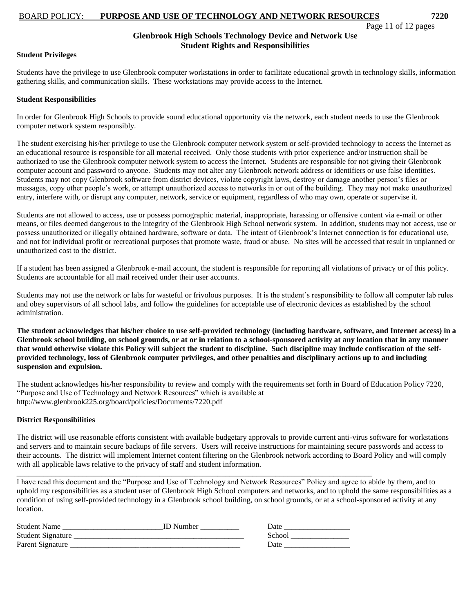### **Glenbrook High Schools Technology Device and Network Use Student Rights and Responsibilities**

#### **Student Privileges**

Students have the privilege to use Glenbrook computer workstations in order to facilitate educational growth in technology skills, information gathering skills, and communication skills. These workstations may provide access to the Internet.

#### **Student Responsibilities**

In order for Glenbrook High Schools to provide sound educational opportunity via the network, each student needs to use the Glenbrook computer network system responsibly.

The student exercising his/her privilege to use the Glenbrook computer network system or self-provided technology to access the Internet as an educational resource is responsible for all material received. Only those students with prior experience and/or instruction shall be authorized to use the Glenbrook computer network system to access the Internet. Students are responsible for not giving their Glenbrook computer account and password to anyone. Students may not alter any Glenbrook network address or identifiers or use false identities. Students may not copy Glenbrook software from district devices, violate copyright laws, destroy or damage another person's files or messages, copy other people's work, or attempt unauthorized access to networks in or out of the building. They may not make unauthorized entry, interfere with, or disrupt any computer, network, service or equipment, regardless of who may own, operate or supervise it.

Students are not allowed to access, use or possess pornographic material, inappropriate, harassing or offensive content via e-mail or other means, or files deemed dangerous to the integrity of the Glenbrook High School network system. In addition, students may not access, use or possess unauthorized or illegally obtained hardware, software or data. The intent of Glenbrook's Internet connection is for educational use, and not for individual profit or recreational purposes that promote waste, fraud or abuse. No sites will be accessed that result in unplanned or unauthorized cost to the district.

If a student has been assigned a Glenbrook e-mail account, the student is responsible for reporting all violations of privacy or of this policy. Students are accountable for all mail received under their user accounts.

Students may not use the network or labs for wasteful or frivolous purposes. It is the student's responsibility to follow all computer lab rules and obey supervisors of all school labs, and follow the guidelines for acceptable use of electronic devices as established by the school administration.

**The student acknowledges that his/her choice to use self-provided technology (including hardware, software, and Internet access) in a Glenbrook school building, on school grounds, or at or in relation to a school-sponsored activity at any location that in any manner that would otherwise violate this Policy will subject the student to discipline. Such discipline may include confiscation of the selfprovided technology, loss of Glenbrook computer privileges, and other penalties and disciplinary actions up to and including suspension and expulsion.**

The student acknowledges his/her responsibility to review and comply with the requirements set forth in Board of Education Policy 7220, "Purpose and Use of Technology and Network Resources" which is available at http://www.glenbrook225.org/board/policies/Documents/7220.pdf

#### **District Responsibilities**

The district will use reasonable efforts consistent with available budgetary approvals to provide current anti-virus software for workstations and servers and to maintain secure backups of file servers. Users will receive instructions for maintaining secure passwords and access to their accounts. The district will implement Internet content filtering on the Glenbrook network according to Board Policy and will comply with all applicable laws relative to the privacy of staff and student information.

I have read this document and the "Purpose and Use of Technology and Network Resources" Policy and agree to abide by them, and to uphold my responsibilities as a student user of Glenbrook High School computers and networks, and to uphold the same responsibilities as a condition of using self-provided technology in a Glenbrook school building, on school grounds, or at a school-sponsored activity at any location.

| Student Name             | <b>ID</b> Number | Date   |
|--------------------------|------------------|--------|
| <b>Student Signature</b> |                  | School |
| Parent Signature         |                  | Date   |

\_\_\_\_\_\_\_\_\_\_\_\_\_\_\_\_\_\_\_\_\_\_\_\_\_\_\_\_\_\_\_\_\_\_\_\_\_\_\_\_\_\_\_\_\_\_\_\_\_\_\_\_\_\_\_\_\_\_\_\_\_\_\_\_\_\_\_\_\_\_\_\_\_\_\_\_\_\_\_\_\_\_\_\_\_\_\_\_\_\_\_\_